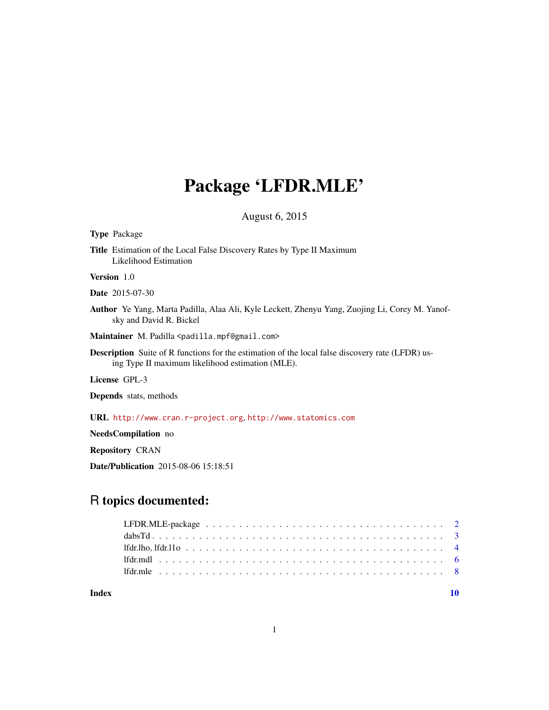# Package 'LFDR.MLE'

August 6, 2015

#### <span id="page-0-0"></span>Type Package

Title Estimation of the Local False Discovery Rates by Type II Maximum Likelihood Estimation

#### Version 1.0

Date 2015-07-30

Author Ye Yang, Marta Padilla, Alaa Ali, Kyle Leckett, Zhenyu Yang, Zuojing Li, Corey M. Yanofsky and David R. Bickel

Maintainer M. Padilla <padilla.mpf@gmail.com>

Description Suite of R functions for the estimation of the local false discovery rate (LFDR) using Type II maximum likelihood estimation (MLE).

License GPL-3

Depends stats, methods

URL <http://www.cran.r-project.org>, <http://www.statomics.com>

NeedsCompilation no

Repository CRAN

Date/Publication 2015-08-06 15:18:51

# R topics documented:

#### $\blacksquare$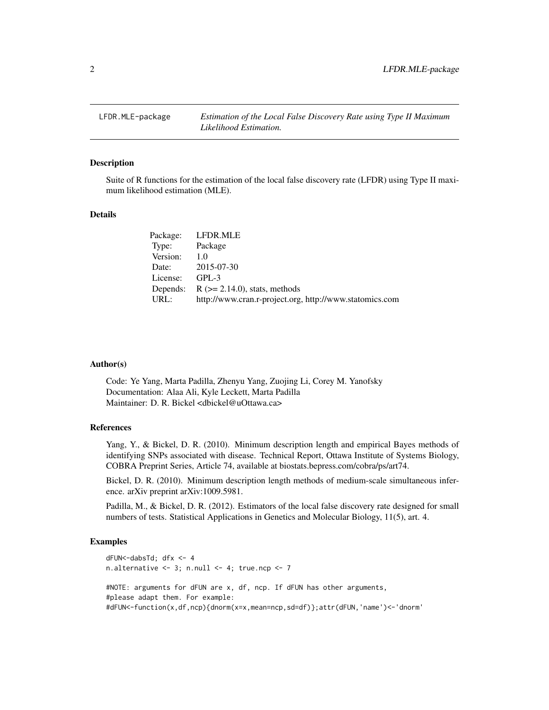<span id="page-1-0"></span>

#### Description

Suite of R functions for the estimation of the local false discovery rate (LFDR) using Type II maximum likelihood estimation (MLE).

#### Details

| Package: | LFDR.MLE                                                |
|----------|---------------------------------------------------------|
| Type:    | Package                                                 |
| Version: | 1.0                                                     |
| Date:    | 2015-07-30                                              |
| License: | $GPI - 3$                                               |
|          | Depends: $R (= 2.14.0)$ , stats, methods                |
| URL:     | http://www.cran.r-project.org, http://www.statomics.com |
|          |                                                         |

#### Author(s)

Code: Ye Yang, Marta Padilla, Zhenyu Yang, Zuojing Li, Corey M. Yanofsky Documentation: Alaa Ali, Kyle Leckett, Marta Padilla Maintainer: D. R. Bickel <dbickel@uOttawa.ca>

### References

Yang, Y., & Bickel, D. R. (2010). Minimum description length and empirical Bayes methods of identifying SNPs associated with disease. Technical Report, Ottawa Institute of Systems Biology, COBRA Preprint Series, Article 74, available at biostats.bepress.com/cobra/ps/art74.

Bickel, D. R. (2010). Minimum description length methods of medium-scale simultaneous inference. arXiv preprint arXiv:1009.5981.

Padilla, M., & Bickel, D. R. (2012). Estimators of the local false discovery rate designed for small numbers of tests. Statistical Applications in Genetics and Molecular Biology, 11(5), art. 4.

```
dFUN<-dabsTd; dfx <- 4
n.alternative <-3; n.null <-4; true.ncp <-7#NOTE: arguments for dFUN are x, df, ncp. If dFUN has other arguments,
#please adapt them. For example:
#dFUN<-function(x,df,ncp){dnorm(x=x,mean=ncp,sd=df)};attr(dFUN,'name')<-'dnorm'
```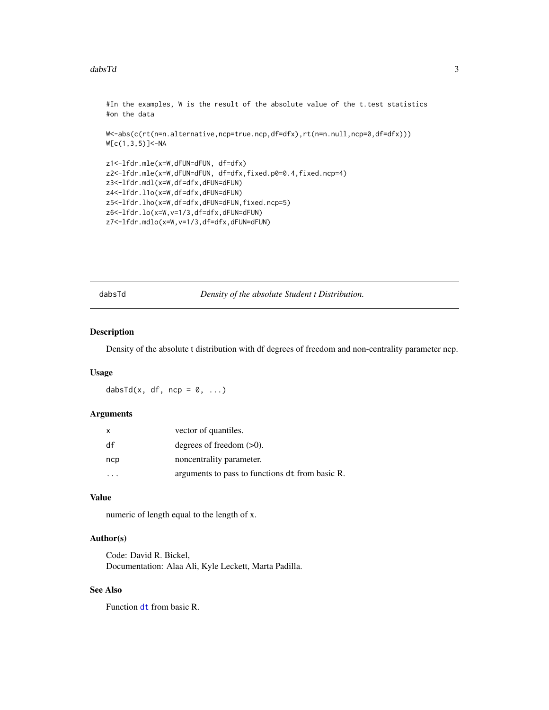#### <span id="page-2-0"></span>dabsTd 3

```
#In the examples, W is the result of the absolute value of the t.test statistics
#on the data
W<-abs(c(rt(n=n.alternative,ncp=true.ncp,df=dfx),rt(n=n.null,ncp=0,df=dfx)))
W[c(1,3,5)]<-NA
z1<-lfdr.mle(x=W,dFUN=dFUN, df=dfx)
z2<-lfdr.mle(x=W,dFUN=dFUN, df=dfx,fixed.p0=0.4,fixed.ncp=4)
z3<-lfdr.mdl(x=W,df=dfx,dFUN=dFUN)
z4<-lfdr.l1o(x=W,df=dfx,dFUN=dFUN)
z5<-lfdr.lho(x=W,df=dfx,dFUN=dFUN,fixed.ncp=5)
z6<-lfdr.lo(x=W,v=1/3,df=dfx,dFUN=dFUN)
z7<-lfdr.mdlo(x=W,v=1/3,df=dfx,dFUN=dFUN)
```
dabsTd *Density of the absolute Student t Distribution.*

# Description

Density of the absolute t distribution with df degrees of freedom and non-centrality parameter ncp.

#### Usage

dabsTd(x, df, ncp =  $0, ...$ )

#### Arguments

| X   | vector of quantiles.                            |
|-----|-------------------------------------------------|
| df  | degrees of freedom $(>0)$ .                     |
| ncp | noncentrality parameter.                        |
|     | arguments to pass to functions dt from basic R. |

# Value

numeric of length equal to the length of x.

# Author(s)

Code: David R. Bickel, Documentation: Alaa Ali, Kyle Leckett, Marta Padilla.

# See Also

Function [dt](#page-0-0) from basic R.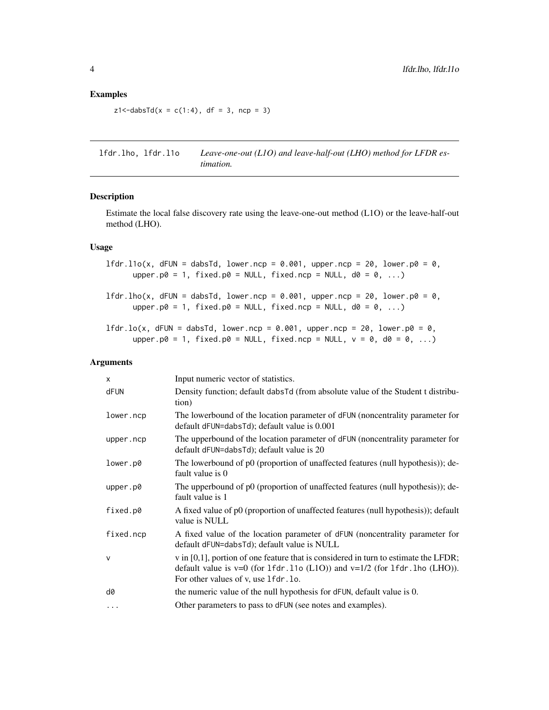### <span id="page-3-0"></span>Examples

```
z1 < -dabsTd(x = c(1:4), df = 3, ncp = 3)
```
lfdr.lho, lfdr.l1o *Leave-one-out (L1O) and leave-half-out (LHO) method for LFDR estimation.*

# <span id="page-3-1"></span>Description

Estimate the local false discovery rate using the leave-one-out method (L1O) or the leave-half-out method (LHO).

# Usage

lfdr.l1o(x, dFUN = dabsTd, lower.ncp = 0.001, upper.ncp = 20, lower.p0 = 0, upper.p0 = 1, fixed.p0 = NULL, fixed.ncp = NULL,  $d0 = 0, ...$ ) lfdr.lho(x, dFUN = dabsTd, lower.ncp = 0.001, upper.ncp = 20, lower.p0 = 0, upper.p0 = 1, fixed.p0 = NULL, fixed.ncp = NULL,  $d0 = 0, ...$ )  $1fdr.lo(x, dFW = dabsTd, lower.ncp = 0.001, upper.ncp = 20, lower.p0 = 0,$ upper.p0 = 1, fixed.p0 = NULL, fixed.ncp = NULL,  $v = 0$ , d0 = 0, ...)

#### Arguments

| Input numeric vector of statistics.                                                                                                                                                                            |
|----------------------------------------------------------------------------------------------------------------------------------------------------------------------------------------------------------------|
| Density function; default dabsTd (from absolute value of the Student t distribu-<br>tion)                                                                                                                      |
| The lowerbound of the location parameter of dFUN (noncentrality parameter for<br>default dFUN=dabsTd); default value is 0.001                                                                                  |
| The upperbound of the location parameter of dFUN (noncentrality parameter for<br>default dFUN=dabsTd); default value is 20                                                                                     |
| The lowerbound of p0 (proportion of unaffected features (null hypothesis)); de-<br>fault value is 0                                                                                                            |
| The upperbound of p0 (proportion of unaffected features (null hypothesis)); de-<br>fault value is 1                                                                                                            |
| A fixed value of p0 (proportion of unaffected features (null hypothesis)); default<br>value is NULL                                                                                                            |
| A fixed value of the location parameter of dFUN (noncentrality parameter for<br>default dFUN=dabsTd); default value is NULL                                                                                    |
| $v$ in [0,1], portion of one feature that is considered in turn to estimate the LFDR;<br>default value is $v=0$ (for 1fdr.11o (L1O)) and $v=1/2$ (for 1fdr.1ho (LHO)).<br>For other values of v, use 1fdr. lo. |
| the numeric value of the null hypothesis for dFUN, default value is 0.                                                                                                                                         |
| Other parameters to pass to dFUN (see notes and examples).                                                                                                                                                     |
|                                                                                                                                                                                                                |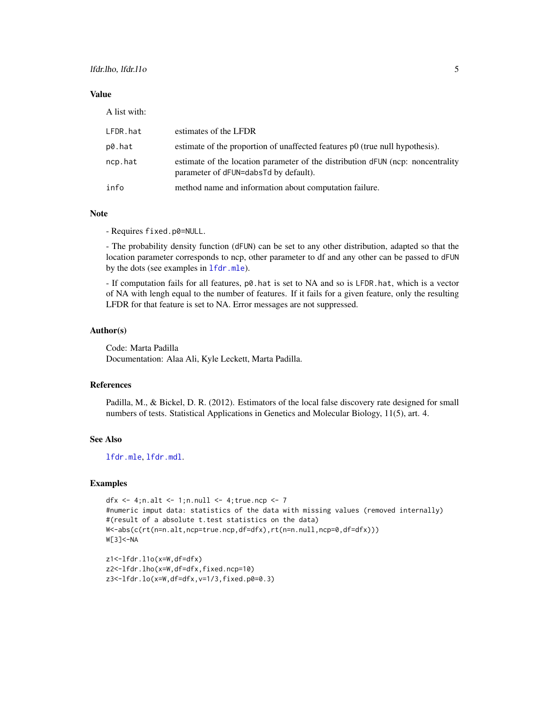### <span id="page-4-0"></span>Value

A list with:

| LFDR.hat | estimates of the LFDR                                                                                                    |
|----------|--------------------------------------------------------------------------------------------------------------------------|
| p0.hat   | estimate of the proportion of unaffected features p0 (true null hypothesis).                                             |
| ncp.hat  | estimate of the location parameter of the distribution dFUN (ncp: noncentrality<br>parameter of dFUN=dabsTd by default). |
| info     | method name and information about computation failure.                                                                   |

#### Note

- Requires fixed.p0=NULL.

- The probability density function (dFUN) can be set to any other distribution, adapted so that the location parameter corresponds to ncp, other parameter to df and any other can be passed to dFUN by the dots (see examples in [lfdr.mle](#page-7-1)).

- If computation fails for all features, p0.hat is set to NA and so is LFDR.hat, which is a vector of NA with lengh equal to the number of features. If it fails for a given feature, only the resulting LFDR for that feature is set to NA. Error messages are not suppressed.

#### Author(s)

Code: Marta Padilla Documentation: Alaa Ali, Kyle Leckett, Marta Padilla.

### References

Padilla, M., & Bickel, D. R. (2012). Estimators of the local false discovery rate designed for small numbers of tests. Statistical Applications in Genetics and Molecular Biology, 11(5), art. 4.

# See Also

[lfdr.mle](#page-7-1), [lfdr.mdl](#page-5-1).

```
dfx \langle - 4;n.alt \langle - 1;n.null \langle - 4;true.ncp \langle - 7
#numeric imput data: statistics of the data with missing values (removed internally)
#(result of a absolute t.test statistics on the data)
W<-abs(c(rt(n=n.alt,ncp=true.ncp,df=dfx),rt(n=n.null,ncp=0,df=dfx)))W[3]<-NA
```

```
z1<-lfdr.l1o(x=W,df=dfx)
z2<-lfdr.lho(x=W,df=dfx,fixed.ncp=10)
z3<-lfdr.lo(x=W,df=dfx,v=1/3,fixed.p0=0.3)
```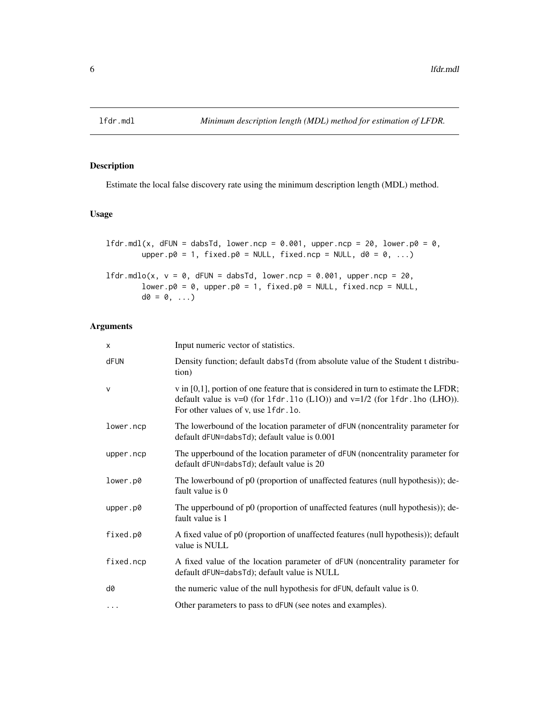<span id="page-5-1"></span><span id="page-5-0"></span>

# Description

Estimate the local false discovery rate using the minimum description length (MDL) method.

# Usage

```
lfdr.mdl(x, dFUN = dabsTd, lower.ncp = 0.001, upper.ncp = 20, lower.p0 = 0,
        upper.p0 = 1, fixed.p0 = NULL, fixed.ncp = NULL, d0 = 0, ...)
1fdr.mdlo(x, v = 0, dFUN = dabsTd, lower.ncp = 0.001, upper.ncp = 20,
        lower.p0 = 0, upper.p0 = 1, fixed.p0 = NULL, fixed.ncp = NULL,
        d\emptyset = \emptyset, \ldots
```
# Arguments

| $\times$     | Input numeric vector of statistics.                                                                                                                                                                             |
|--------------|-----------------------------------------------------------------------------------------------------------------------------------------------------------------------------------------------------------------|
| dFUN         | Density function; default dabsTd (from absolute value of the Student t distribu-<br>tion)                                                                                                                       |
| $\mathsf{V}$ | $v$ in [0,1], portion of one feature that is considered in turn to estimate the LFDR;<br>default value is $v=0$ (for 1fdr.11o (L1O)) and $v=1/2$ (for 1fdr.1ho (LHO)).<br>For other values of v, use 1 fdr. lo. |
| lower.ncp    | The lowerbound of the location parameter of dFUN (noncentrality parameter for<br>default dFUN=dabsTd); default value is 0.001                                                                                   |
| upper.ncp    | The upperbound of the location parameter of dFUN (noncentrality parameter for<br>default dFUN=dabsTd); default value is 20                                                                                      |
| lower.p0     | The lowerbound of p0 (proportion of unaffected features (null hypothesis)); de-<br>fault value is 0                                                                                                             |
| upper.p0     | The upperbound of p0 (proportion of unaffected features (null hypothesis)); de-<br>fault value is 1                                                                                                             |
| fixed.p0     | A fixed value of p0 (proportion of unaffected features (null hypothesis)); default<br>value is NULL                                                                                                             |
| fixed.ncp    | A fixed value of the location parameter of dFUN (noncentrality parameter for<br>default dFUN=dabsTd); default value is NULL                                                                                     |
| d0           | the numeric value of the null hypothesis for dFUN, default value is 0.                                                                                                                                          |
| $\cdots$     | Other parameters to pass to dFUN (see notes and examples).                                                                                                                                                      |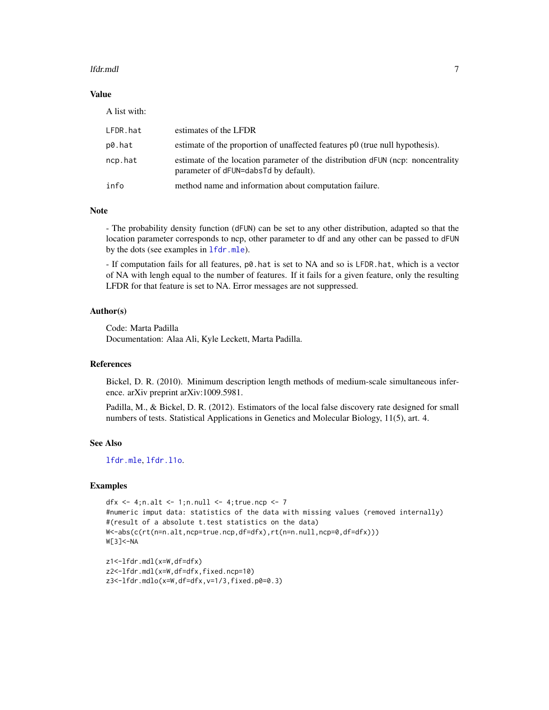#### <span id="page-6-0"></span>lfdr.mdl 7

### Value

A list with:

| LFDR.hat | estimates of the LFDR                                                                                                    |
|----------|--------------------------------------------------------------------------------------------------------------------------|
| p0.hat   | estimate of the proportion of unaffected features p0 (true null hypothesis).                                             |
| ncp.hat  | estimate of the location parameter of the distribution dFUN (ncp: noncentrality<br>parameter of dFUN=dabsTd by default). |
| info     | method name and information about computation failure.                                                                   |

#### **Note**

- The probability density function (dFUN) can be set to any other distribution, adapted so that the location parameter corresponds to ncp, other parameter to df and any other can be passed to dFUN by the dots (see examples in [lfdr.mle](#page-7-1)).

- If computation fails for all features, p0.hat is set to NA and so is LFDR.hat, which is a vector of NA with lengh equal to the number of features. If it fails for a given feature, only the resulting LFDR for that feature is set to NA. Error messages are not suppressed.

# Author(s)

Code: Marta Padilla Documentation: Alaa Ali, Kyle Leckett, Marta Padilla.

#### References

Bickel, D. R. (2010). Minimum description length methods of medium-scale simultaneous inference. arXiv preprint arXiv:1009.5981.

Padilla, M., & Bickel, D. R. (2012). Estimators of the local false discovery rate designed for small numbers of tests. Statistical Applications in Genetics and Molecular Biology, 11(5), art. 4.

### See Also

[lfdr.mle](#page-7-1), [lfdr.l1o](#page-3-1).

```
dfx \langle - 4;n.alt \langle - 1;n.null \langle - 4;true.ncp \langle - 7
#numeric imput data: statistics of the data with missing values (removed internally)
#(result of a absolute t.test statistics on the data)
W<-abs(c(rt(n=n.alt,ncp=true.ncp,df=dfx),rt(n=n.null,ncp=0,df=dfx)))
W[3]<-NA
```

```
z1<-lfdr.mdl(x=W,df=dfx)
z2<-lfdr.mdl(x=W,df=dfx,fixed.ncp=10)
z3<-lfdr.mdlo(x=W,df=dfx,v=1/3,fixed.p0=0.3)
```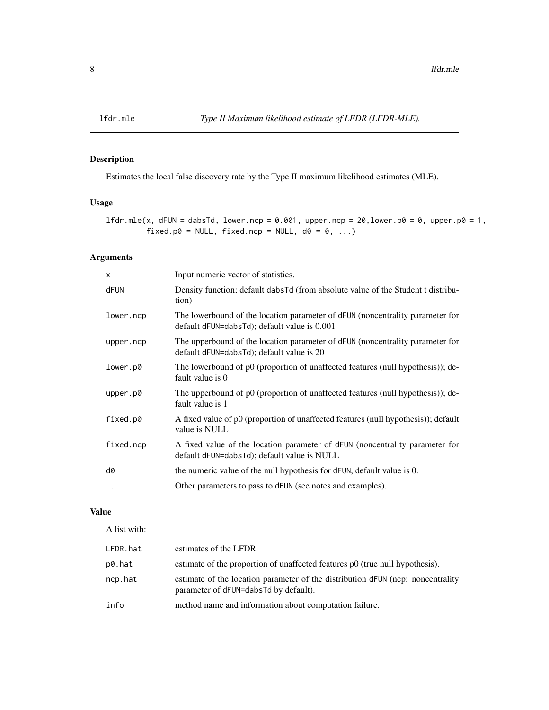<span id="page-7-1"></span><span id="page-7-0"></span>

# Description

Estimates the local false discovery rate by the Type II maximum likelihood estimates (MLE).

# Usage

lfdr.mle(x, dFUN = dabsTd, lower.ncp = 0.001, upper.ncp = 20, lower.p0 = 0, upper.p0 = 1, fixed.p0 = NULL, fixed.ncp = NULL,  $d0 = 0, ...$ 

# Arguments

| X         | Input numeric vector of statistics.                                                                                           |
|-----------|-------------------------------------------------------------------------------------------------------------------------------|
| dFUN      | Density function; default dabsTd (from absolute value of the Student t distribu-<br>tion)                                     |
| lower.ncp | The lowerbound of the location parameter of dFUN (noncentrality parameter for<br>default dFUN=dabsTd); default value is 0.001 |
| upper.ncp | The upperbound of the location parameter of dFUN (noncentrality parameter for<br>default dFUN=dabsTd); default value is 20    |
| lower.p0  | The lowerbound of p0 (proportion of unaffected features (null hypothesis)); de-<br>fault value is 0                           |
| upper.p0  | The upperbound of p0 (proportion of unaffected features (null hypothesis)); de-<br>fault value is 1                           |
| fixed.p0  | A fixed value of p0 (proportion of unaffected features (null hypothesis)); default<br>value is NULL                           |
| fixed.ncp | A fixed value of the location parameter of dFUN (noncentrality parameter for<br>default dFUN=dabsTd); default value is NULL   |
| d0        | the numeric value of the null hypothesis for dFUN, default value is 0.                                                        |
| $\cdots$  | Other parameters to pass to dFUN (see notes and examples).                                                                    |

#### Value

A list with:

| LFDR.hat | estimates of the LFDR                                                                                                    |
|----------|--------------------------------------------------------------------------------------------------------------------------|
| p0.hat   | estimate of the proportion of unaffected features p0 (true null hypothesis).                                             |
| ncp.hat  | estimate of the location parameter of the distribution dFUN (ncp: noncentrality<br>parameter of dFUN=dabsTd by default). |
| info     | method name and information about computation failure.                                                                   |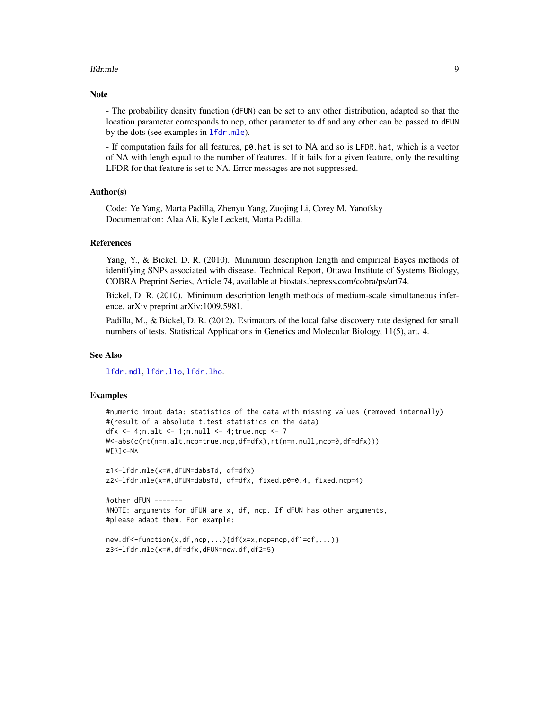#### <span id="page-8-0"></span>lfdr.mle 99

#### Note

- The probability density function (dFUN) can be set to any other distribution, adapted so that the location parameter corresponds to ncp, other parameter to df and any other can be passed to dFUN by the dots (see examples in [lfdr.mle](#page-7-1)).

- If computation fails for all features, p0.hat is set to NA and so is LFDR.hat, which is a vector of NA with lengh equal to the number of features. If it fails for a given feature, only the resulting LFDR for that feature is set to NA. Error messages are not suppressed.

#### Author(s)

Code: Ye Yang, Marta Padilla, Zhenyu Yang, Zuojing Li, Corey M. Yanofsky Documentation: Alaa Ali, Kyle Leckett, Marta Padilla.

#### References

Yang, Y., & Bickel, D. R. (2010). Minimum description length and empirical Bayes methods of identifying SNPs associated with disease. Technical Report, Ottawa Institute of Systems Biology, COBRA Preprint Series, Article 74, available at biostats.bepress.com/cobra/ps/art74.

Bickel, D. R. (2010). Minimum description length methods of medium-scale simultaneous inference. arXiv preprint arXiv:1009.5981.

Padilla, M., & Bickel, D. R. (2012). Estimators of the local false discovery rate designed for small numbers of tests. Statistical Applications in Genetics and Molecular Biology, 11(5), art. 4.

#### See Also

[lfdr.mdl](#page-5-1), [lfdr.l1o](#page-3-1), [lfdr.lho](#page-3-1).

```
#numeric imput data: statistics of the data with missing values (removed internally)
#(result of a absolute t.test statistics on the data)
dfx \langle - 4;n.alt \langle - 1;n.null \langle - 4;true.ncp \langle - 7
W<-abs(c(rt(n=n.alt,ncp=true.ncp,df=dfx),rt(n=n.null,ncp=0,df=dfx)))
W[3]<-NA
```

```
z1<-lfdr.mle(x=W,dFUN=dabsTd, df=dfx)
z2<-lfdr.mle(x=W,dFUN=dabsTd, df=dfx, fixed.p0=0.4, fixed.ncp=4)
```

```
#other dFUN -------
#NOTE: arguments for dFUN are x, df, ncp. If dFUN has other arguments,
#please adapt them. For example:
```

```
new.df<-function(x,df,ncp,...){df(x=x,ncp=ncp,df1=df,...)}
z3<-lfdr.mle(x=W,df=dfx,dFUN=new.df,df2=5)
```